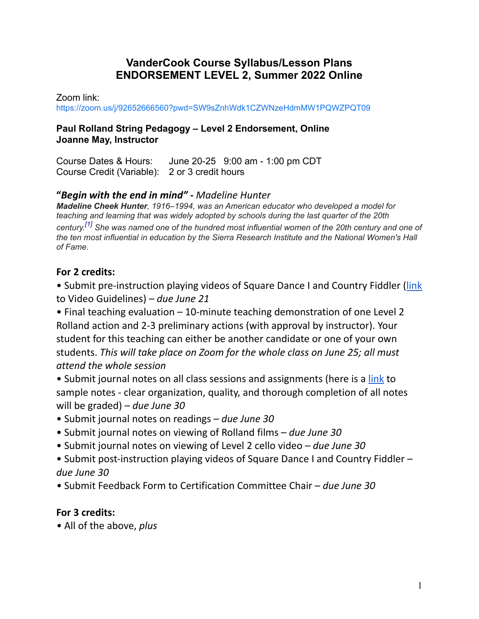## **VanderCook Course Syllabus/Lesson Plans ENDORSEMENT LEVEL 2, Summer 2022 Online**

Zoom link:

<https://zoom.us/j/92652666560?pwd=SW9sZnhWdk1CZWNzeHdmMW1PQWZPQT09>

### **Paul Rolland String Pedagogy – Level 2 Endorsement, Online Joanne May, Instructor**

Course Dates & Hours: June 20-25 9:00 am - 1:00 pm CDT Course Credit (Variable): 2 or 3 credit hours

## **"***Begin with the end in mind" - Madeline Hunter*

*Madeline Cheek Hunter, 1916–1994, was an American educator who developed a model for teaching and learning that was widely adopted by schools during the last quarter of the 20th century. [\[1\]](https://en.wikipedia.org/wiki/Madeline_Cheek_Hunter#cite_note-1) She was named one of the hundred most influential women of the 20th century and one of the ten most influential in education by the Sierra Research Institute and the National Women's Hall of Fame.*

## **For 2 credits:**

• Submit pre-instruction playing videos of Square Dance I and Country Fiddler ([link](https://docs.google.com/document/d/1AGJX1HPla1O-tcyQriasSHbDJ16COaZ9fJZb1Vyigr0/edit?usp=sharing) to Video Guidelines) – *due June 21*

• Final teaching evaluation – 10-minute teaching demonstration of one Level 2 Rolland action and 2-3 preliminary actions (with approval by instructor). Your student for this teaching can either be another candidate or one of your own students. *This will take place on Zoom for the whole class on June 25; all must attend the whole session*

- Submit journal notes on all class sessions and assignments (here is a [link](https://docs.google.com/document/d/1JrTIiN80echgaFTd7PM6YbmXyBZhwEQKGLUCd4EVUJM/edit?usp=sharing) to sample notes - clear organization, quality, and thorough completion of all notes will be graded) – *due June 30*
- Submit journal notes on readings *due June 30*
- Submit journal notes on viewing of Rolland films *due June 30*
- Submit journal notes on viewing of Level 2 cello video *due June 30*
- Submit post-instruction playing videos of Square Dance I and Country Fiddler *due June 30*
- *•* Submit Feedback Form to Certification Committee Chair *due June 30*

## **For 3 credits:**

*•* All of the above, *plus*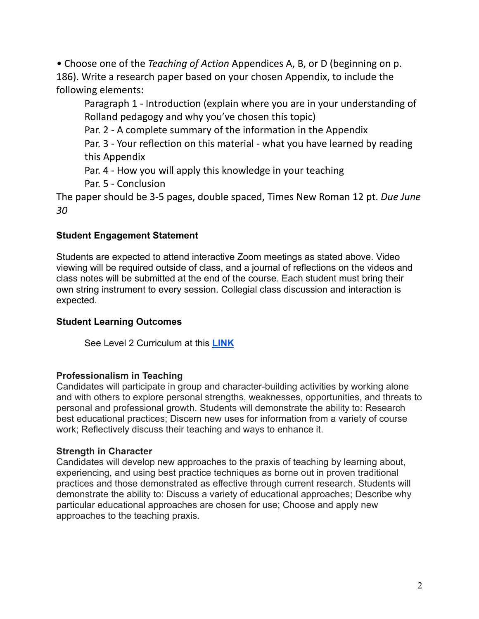*•* Choose one of the *Teaching of Action* Appendices A, B, or D (beginning on p. 186). Write a research paper based on your chosen Appendix, to include the following elements:

Paragraph 1 - Introduction (explain where you are in your understanding of Rolland pedagogy and why you've chosen this topic)

Par. 2 - A complete summary of the information in the Appendix

Par. 3 - Your reflection on this material - what you have learned by reading this Appendix

Par. 4 - How you will apply this knowledge in your teaching

Par. 5 - Conclusion

The paper should be 3-5 pages, double spaced, Times New Roman 12 pt. *Due June 30*

### **Student Engagement Statement**

Students are expected to attend interactive Zoom meetings as stated above. Video viewing will be required outside of class, and a journal of reflections on the videos and class notes will be submitted at the end of the course. Each student must bring their own string instrument to every session. Collegial class discussion and interaction is expected.

### **Student Learning Outcomes**

See Level 2 Curriculum at this **[LINK](https://docs.google.com/document/d/1N8qojL0RTogQKtb6HmR7UiqCK3qJJGr6Y6AUaT-QYRg/edit?usp=sharing)**

#### **Professionalism in Teaching**

Candidates will participate in group and character-building activities by working alone and with others to explore personal strengths, weaknesses, opportunities, and threats to personal and professional growth. Students will demonstrate the ability to: Research best educational practices; Discern new uses for information from a variety of course work; Reflectively discuss their teaching and ways to enhance it.

#### **Strength in Character**

Candidates will develop new approaches to the praxis of teaching by learning about, experiencing, and using best practice techniques as borne out in proven traditional practices and those demonstrated as effective through current research. Students will demonstrate the ability to: Discuss a variety of educational approaches; Describe why particular educational approaches are chosen for use; Choose and apply new approaches to the teaching praxis.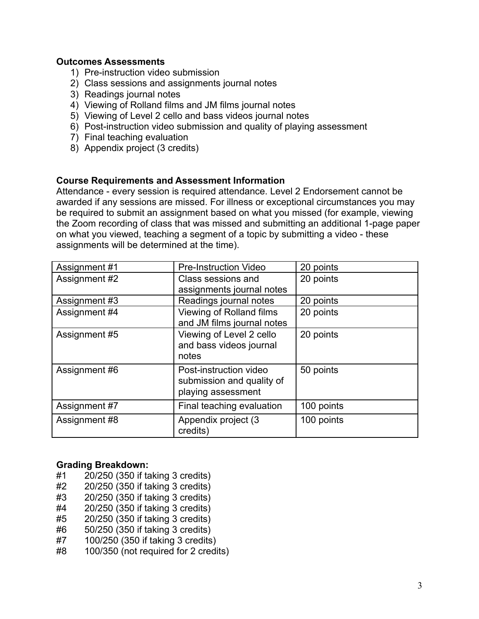#### **Outcomes Assessments**

- 1) Pre-instruction video submission
- 2) Class sessions and assignments journal notes
- 3) Readings journal notes
- 4) Viewing of Rolland films and JM films journal notes
- 5) Viewing of Level 2 cello and bass videos journal notes
- 6) Post-instruction video submission and quality of playing assessment
- 7) Final teaching evaluation
- 8) Appendix project (3 credits)

#### **Course Requirements and Assessment Information**

Attendance - every session is required attendance. Level 2 Endorsement cannot be awarded if any sessions are missed. For illness or exceptional circumstances you may be required to submit an assignment based on what you missed (for example, viewing the Zoom recording of class that was missed and submitting an additional 1-page paper on what you viewed, teaching a segment of a topic by submitting a video - these assignments will be determined at the time).

| Assignment #1 | <b>Pre-Instruction Video</b> | 20 points  |
|---------------|------------------------------|------------|
| Assignment #2 | Class sessions and           | 20 points  |
|               | assignments journal notes    |            |
| Assignment #3 | Readings journal notes       | 20 points  |
| Assignment #4 | Viewing of Rolland films     | 20 points  |
|               | and JM films journal notes   |            |
| Assignment #5 | Viewing of Level 2 cello     | 20 points  |
|               | and bass videos journal      |            |
|               | notes                        |            |
| Assignment #6 | Post-instruction video       | 50 points  |
|               | submission and quality of    |            |
|               | playing assessment           |            |
| Assignment #7 | Final teaching evaluation    | 100 points |
| Assignment #8 | Appendix project (3          | 100 points |
|               | credits)                     |            |

#### **Grading Breakdown:**

- #1 20/250 (350 if taking 3 credits)
- #2 20/250 (350 if taking 3 credits)
- #3 20/250 (350 if taking 3 credits)
- #4 20/250 (350 if taking 3 credits)
- #5 20/250 (350 if taking 3 credits)
- #6 50/250 (350 if taking 3 credits)
- #7 100/250 (350 if taking 3 credits)
- #8 100/350 (not required for 2 credits)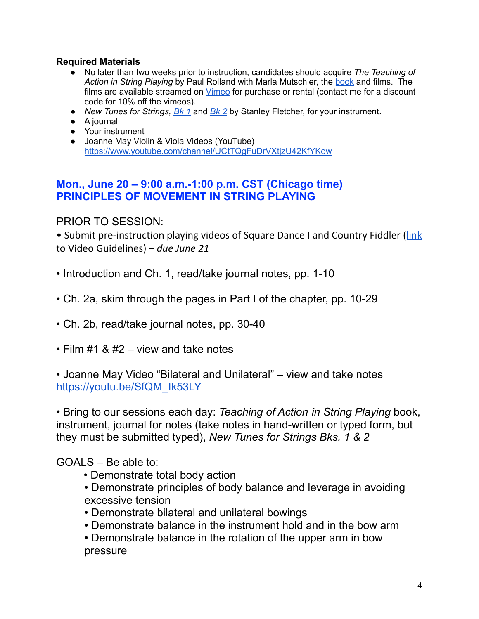### **Required Materials**

- No later than two weeks prior to instruction, candidates should acquire *The Teaching of Action in String Playing* by Paul Rolland with Marla Mutschler, the [book](https://www.alfred.com/the-teaching-of-action-in-string-playing/p/98-ASTASP01/) and films. The films are available streamed on [Vimeo](https://vimeo.com/ondemand/paulrolland) for purchase or rental (contact me for a discount code for 10% off the vimeos).
- *New Tunes for Strings, [Bk](https://www.sharmusic.com/Sheet-Music/Violin/Method-Book/Fletcher-Stanley---New-Tunes-for-Strings-Book-1---Teacher---Boosey-Hawkes-Edition.axd) 1* and *[Bk](https://www.sharmusic.com/Sheet-Music/Violin/Method-Book/Fletcher-Stanley---New-Tunes-For-Strings-Book-2---Violin---Boosey-Hawkes-Edition.axd) 2* by Stanley Fletcher, for your instrument.
- A journal
- Your instrument
- Joanne May Violin & Viola Videos (YouTube) <https://www.youtube.com/channel/UCtTQgFuDrVXtjzU42KfYKow>

## **Mon., June 20 – 9:00 a.m.-1:00 p.m. CST (Chicago time) PRINCIPLES OF MOVEMENT IN STRING PLAYING**

### PRIOR TO SESSION:

• Submit pre-instruction playing videos of Square Dance I and Country Fiddler ([link](https://docs.google.com/document/d/1AGJX1HPla1O-tcyQriasSHbDJ16COaZ9fJZb1Vyigr0/edit?usp=sharing) to Video Guidelines) – *due June 21*

- Introduction and Ch. 1, read/take journal notes, pp. 1-10
- Ch. 2a, skim through the pages in Part I of the chapter, pp. 10-29
- Ch. 2b, read/take journal notes, pp. 30-40
- Film #1 & #2 view and take notes

• Joanne May Video "Bilateral and Unilateral" – view and take notes [https://youtu.be/SfQM\\_Ik53LY](https://youtu.be/SfQM_Ik53LY)

• Bring to our sessions each day: *Teaching of Action in String Playing* book, instrument, journal for notes (take notes in hand-written or typed form, but they must be submitted typed), *New Tunes for Strings Bks. 1 & 2*

### $GOAI S - Be$  able to:

- Demonstrate total body action
- Demonstrate principles of body balance and leverage in avoiding excessive tension
- Demonstrate bilateral and unilateral bowings
- Demonstrate balance in the instrument hold and in the bow arm
- Demonstrate balance in the rotation of the upper arm in bow pressure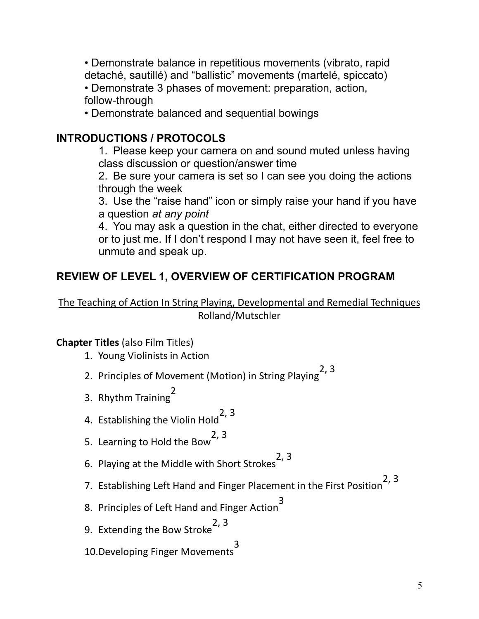• Demonstrate balance in repetitious movements (vibrato, rapid detaché, sautillé) and "ballistic" movements (martelé, spiccato)

• Demonstrate 3 phases of movement: preparation, action, follow-through

• Demonstrate balanced and sequential bowings

# **INTRODUCTIONS / PROTOCOLS**

1. Please keep your camera on and sound muted unless having class discussion or question/answer time

2. Be sure your camera is set so I can see you doing the actions through the week

3. Use the "raise hand" icon or simply raise your hand if you have a question *at any point*

4. You may ask a question in the chat, either directed to everyone or to just me. If I don't respond I may not have seen it, feel free to unmute and speak up.

# **REVIEW OF LEVEL 1, OVERVIEW OF CERTIFICATION PROGRAM**

The Teaching of Action In String Playing, Developmental and Remedial Techniques Rolland/Mutschler

# **Chapter Titles** (also Film Titles)

- 1. Young Violinists in Action
- 2. Principles of Movement (Motion) in String Playing 2, 3
- 3. Rhythm Training 2
- 4. Establishing the Violin Hold 2, 3
- 5. Learning to Hold the Bow<sup>-</sup> 2, 3
- 6. Playing at the Middle with Short Strokes 2, 3
- 7. Establishing Left Hand and Finger Placement in the First Position 2, 3
- 8. Principles of Left Hand and Finger Action 3
- 9. Extending the Bow Stroke 2, 3
- 10.Developing Finger Movements 3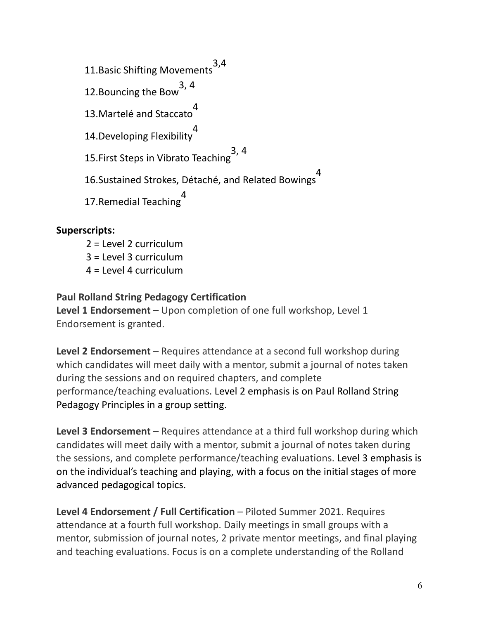11.Basic Shifting Movements 3,4 12.Bouncing the Bow 3, 4 13.Martelé and Staccato 4 14.Developing Flexibility 4 15.First Steps in Vibrato Teaching 3, 4 16.Sustained Strokes, Détaché, and Related Bowings 4 17.Remedial Teaching 4

### **Superscripts:**

- 2 = Level 2 curriculum
- 3 = Level 3 curriculum
- $4 = 1$  evel 4 curriculum

### **Paul Rolland String Pedagogy Certification**

**Level 1 Endorsement –** Upon completion of one full workshop, Level 1 Endorsement is granted.

**Level 2 Endorsement** – Requires attendance at a second full workshop during which candidates will meet daily with a mentor, submit a journal of notes taken during the sessions and on required chapters, and complete performance/teaching evaluations. Level 2 emphasis is on Paul Rolland String Pedagogy Principles in a group setting.

**Level 3 Endorsement** – Requires attendance at a third full workshop during which candidates will meet daily with a mentor, submit a journal of notes taken during the sessions, and complete performance/teaching evaluations. Level 3 emphasis is on the individual's teaching and playing, with a focus on the initial stages of more advanced pedagogical topics.

**Level 4 Endorsement / Full Certification** – Piloted Summer 2021. Requires attendance at a fourth full workshop. Daily meetings in small groups with a mentor, submission of journal notes, 2 private mentor meetings, and final playing and teaching evaluations. Focus is on a complete understanding of the Rolland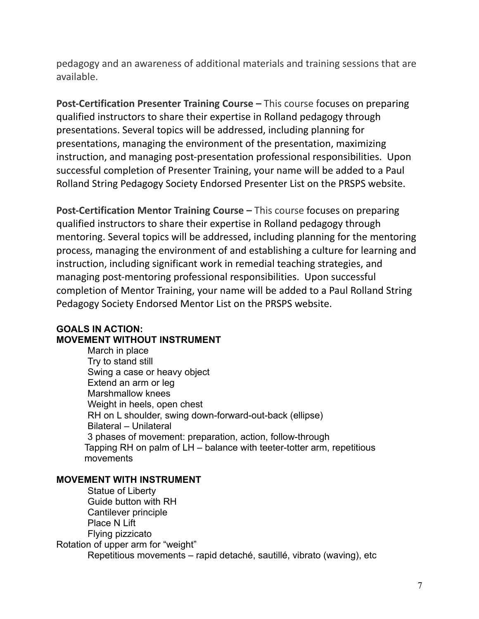pedagogy and an awareness of additional materials and training sessions that are available.

**Post-Certification Presenter Training Course –** This course focuses on preparing qualified instructors to share their expertise in Rolland pedagogy through presentations. Several topics will be addressed, including planning for presentations, managing the environment of the presentation, maximizing instruction, and managing post-presentation professional responsibilities. Upon successful completion of Presenter Training, your name will be added to a Paul Rolland String Pedagogy Society Endorsed Presenter List on the PRSPS website.

**Post-Certification Mentor Training Course –** This course focuses on preparing qualified instructors to share their expertise in Rolland pedagogy through mentoring. Several topics will be addressed, including planning for the mentoring process, managing the environment of and establishing a culture for learning and instruction, including significant work in remedial teaching strategies, and managing post-mentoring professional responsibilities. Upon successful completion of Mentor Training, your name will be added to a Paul Rolland String Pedagogy Society Endorsed Mentor List on the PRSPS website.

### **GOALS IN ACTION: MOVEMENT WITHOUT INSTRUMENT**

March in place Try to stand still Swing a case or heavy object Extend an arm or leg Marshmallow knees Weight in heels, open chest RH on L shoulder, swing down-forward-out-back (ellipse) Bilateral – Unilateral 3 phases of movement: preparation, action, follow-through Tapping RH on palm of LH – balance with teeter-totter arm, repetitious movements

#### **MOVEMENT WITH INSTRUMENT**

Statue of Liberty Guide button with RH Cantilever principle Place N Lift Flying pizzicato Rotation of upper arm for "weight" Repetitious movements – rapid detaché, sautillé, vibrato (waving), etc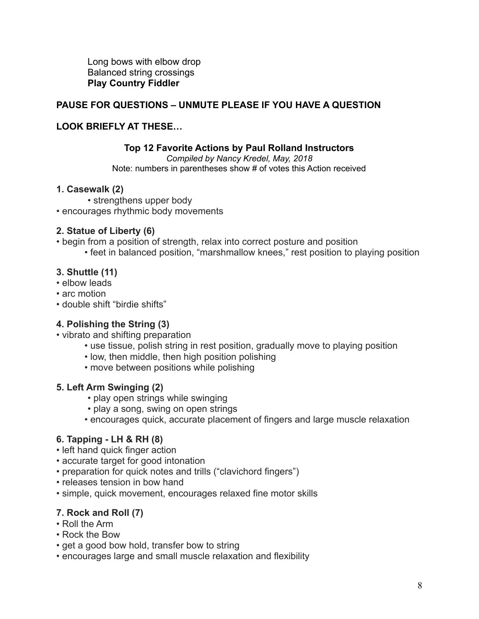Long bows with elbow drop Balanced string crossings **Play Country Fiddler**

### **PAUSE FOR QUESTIONS – UNMUTE PLEASE IF YOU HAVE A QUESTION**

#### **LOOK BRIEFLY AT THESE…**

#### **Top 12 Favorite Actions by Paul Rolland Instructors**

*Compiled by Nancy Kredel, May, 2018* Note: numbers in parentheses show # of votes this Action received

#### **1. Casewalk (2)**

• strengthens upper body • encourages rhythmic body movements

#### **2. Statue of Liberty (6)**

- begin from a position of strength, relax into correct posture and position
	- feet in balanced position, "marshmallow knees," rest position to playing position

#### **3. Shuttle (11)**

- elbow leads
- arc motion
- double shift "birdie shifts"

#### **4. Polishing the String (3)**

- vibrato and shifting preparation
	- use tissue, polish string in rest position, gradually move to playing position
	- low, then middle, then high position polishing
	- move between positions while polishing

#### **5. Left Arm Swinging (2)**

- play open strings while swinging
- play a song, swing on open strings
- encourages quick, accurate placement of fingers and large muscle relaxation

### **6. Tapping - LH & RH (8)**

- left hand quick finger action
- accurate target for good intonation
- preparation for quick notes and trills ("clavichord fingers")
- releases tension in bow hand
- simple, quick movement, encourages relaxed fine motor skills

### **7. Rock and Roll (7)**

- Roll the Arm
- Rock the Bow
- get a good bow hold, transfer bow to string
- encourages large and small muscle relaxation and flexibility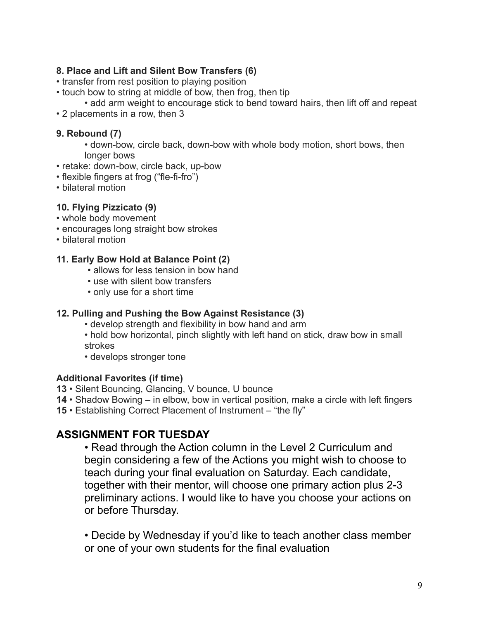### **8. Place and Lift and Silent Bow Transfers (6)**

- transfer from rest position to playing position
- touch bow to string at middle of bow, then frog, then tip
	- add arm weight to encourage stick to bend toward hairs, then lift off and repeat
- 2 placements in a row, then 3

### **9. Rebound (7)**

- down-bow, circle back, down-bow with whole body motion, short bows, then longer bows
- retake: down-bow, circle back, up-bow
- flexible fingers at frog ("fle-fi-fro")
- bilateral motion

### **10. Flying Pizzicato (9)**

- whole body movement
- encourages long straight bow strokes
- bilateral motion

### **11. Early Bow Hold at Balance Point (2)**

- allows for less tension in bow hand
- use with silent bow transfers
- only use for a short time

### **12. Pulling and Pushing the Bow Against Resistance (3)**

- develop strength and flexibility in bow hand and arm
- hold bow horizontal, pinch slightly with left hand on stick, draw bow in small strokes
- develops stronger tone

#### **Additional Favorites (if time)**

- **13** Silent Bouncing, Glancing, V bounce, U bounce
- **14** Shadow Bowing in elbow, bow in vertical position, make a circle with left fingers
- **15** Establishing Correct Placement of Instrument "the fly"

# **ASSIGNMENT FOR TUESDAY**

• Read through the Action column in the Level 2 Curriculum and begin considering a few of the Actions you might wish to choose to teach during your final evaluation on Saturday. Each candidate, together with their mentor, will choose one primary action plus 2-3 preliminary actions. I would like to have you choose your actions on or before Thursday.

• Decide by Wednesday if you'd like to teach another class member or one of your own students for the final evaluation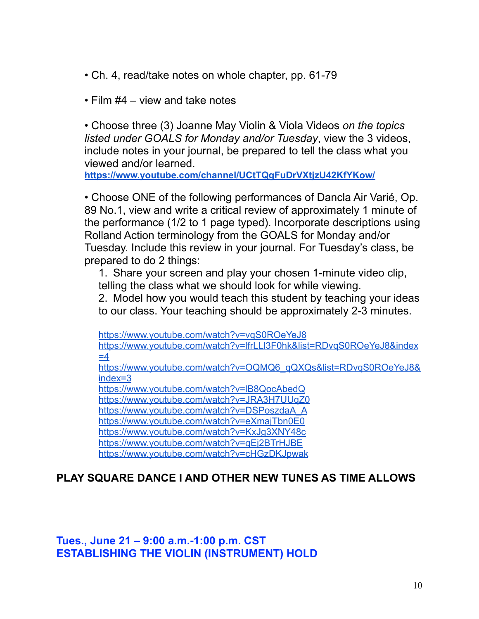- Ch. 4, read/take notes on whole chapter, pp. 61-79
- Film #4 view and take notes

• Choose three (3) Joanne May Violin & Viola Videos *on the topics listed under GOALS for Monday and/or Tuesday*, view the 3 videos, include notes in your journal, be prepared to tell the class what you viewed and/or learned.

**<https://www.youtube.com/channel/UCtTQgFuDrVXtjzU42KfYKow/>**

• Choose ONE of the following performances of Dancla Air Varié, Op. 89 No.1, view and write a critical review of approximately 1 minute of the performance (1/2 to 1 page typed). Incorporate descriptions using Rolland Action terminology from the GOALS for Monday and/or Tuesday. Include this review in your journal. For Tuesday's class, be prepared to do 2 things:

1. Share your screen and play your chosen 1-minute video clip, telling the class what we should look for while viewing.

2. Model how you would teach this student by teaching your ideas to our class. Your teaching should be approximately 2-3 minutes.

<https://www.youtube.com/watch?v=vqS0ROeYeJ8>

[https://www.youtube.com/watch?v=lfrLLl3F0hk&list=RDvqS0ROeYeJ8&index](https://www.youtube.com/watch?v=lfrLLl3F0hk&list=RDvqS0ROeYeJ8&index=4)  $=4$ 

[https://www.youtube.com/watch?v=OQMQ6\\_qQXQs&list=RDvqS0ROeYeJ8&](https://www.youtube.com/watch?v=OQMQ6_qQXQs&list=RDvqS0ROeYeJ8&index=3) [index=3](https://www.youtube.com/watch?v=OQMQ6_qQXQs&list=RDvqS0ROeYeJ8&index=3)

<https://www.youtube.com/watch?v=lB8QocAbedQ>

<https://www.youtube.com/watch?v=JRA3H7UUqZ0>

[https://www.youtube.com/watch?v=DSPoszdaA\\_A](https://www.youtube.com/watch?v=DSPoszdaA_A)

<https://www.youtube.com/watch?v=eXmajTbn0E0>

<https://www.youtube.com/watch?v=KxJg3XNY48c>

<https://www.youtube.com/watch?v=qEj2BTrHJBE>

<https://www.youtube.com/watch?v=cHGzDKJpwak>

# **PLAY SQUARE DANCE I AND OTHER NEW TUNES AS TIME ALLOWS**

**Tues., June 21 – 9:00 a.m.-1:00 p.m. CST ESTABLISHING THE VIOLIN (INSTRUMENT) HOLD**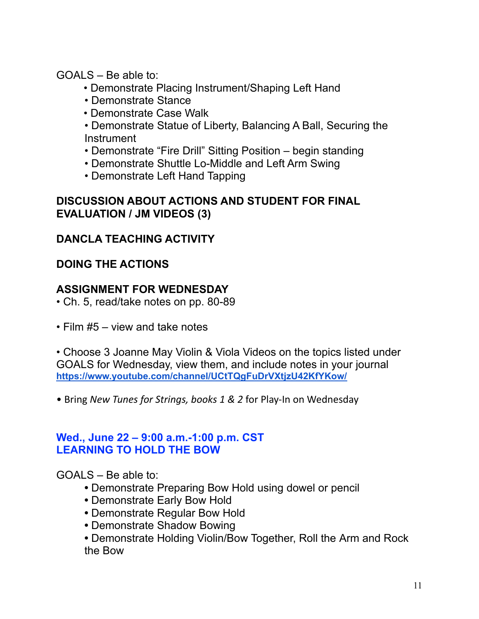GOALS – Be able to:

- Demonstrate Placing Instrument/Shaping Left Hand
- Demonstrate Stance
- Demonstrate Case Walk

• Demonstrate Statue of Liberty, Balancing A Ball, Securing the **Instrument** 

- Demonstrate "Fire Drill" Sitting Position begin standing
- Demonstrate Shuttle Lo-Middle and Left Arm Swing
- Demonstrate Left Hand Tapping

## **DISCUSSION ABOUT ACTIONS AND STUDENT FOR FINAL EVALUATION / JM VIDEOS (3)**

# **DANCLA TEACHING ACTIVITY**

# **DOING THE ACTIONS**

# **ASSIGNMENT FOR WEDNESDAY**

- Ch. 5, read/take notes on pp. 80-89
- Film #5 view and take notes

• Choose 3 Joanne May Violin & Viola Videos on the topics listed under GOALS for Wednesday, view them, and include notes in your journal **<https://www.youtube.com/channel/UCtTQgFuDrVXtjzU42KfYKow/>**

• Bring *New Tunes for Strings, books 1 & 2* for Play-In on Wednesday

## **Wed., June 22 – 9:00 a.m.-1:00 p.m. CST LEARNING TO HOLD THE BOW**

GOALS – Be able to:

- **•** Demonstrate Preparing Bow Hold using dowel or pencil
- **•** Demonstrate Early Bow Hold
- **•** Demonstrate Regular Bow Hold
- **•** Demonstrate Shadow Bowing

**•** Demonstrate Holding Violin/Bow Together, Roll the Arm and Rock the Bow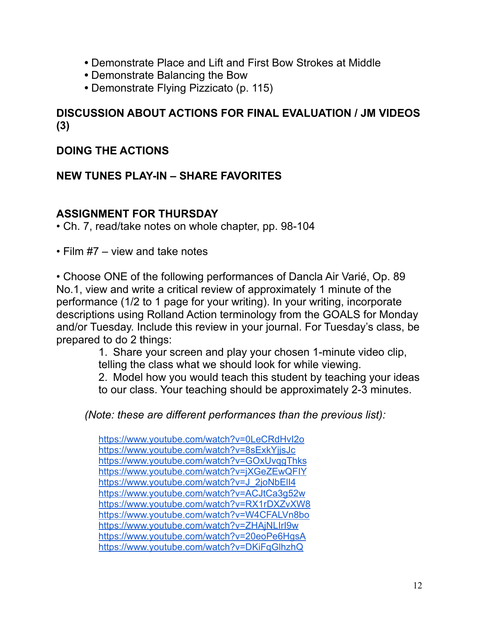- **•** Demonstrate Place and Lift and First Bow Strokes at Middle
- **•** Demonstrate Balancing the Bow
- **•** Demonstrate Flying Pizzicato (p. 115)

# **DISCUSSION ABOUT ACTIONS FOR FINAL EVALUATION / JM VIDEOS (3)**

# **DOING THE ACTIONS**

## **NEW TUNES PLAY-IN – SHARE FAVORITES**

## **ASSIGNMENT FOR THURSDAY**

• Ch. 7, read/take notes on whole chapter, pp. 98-104

• Film #7 – view and take notes

• Choose ONE of the following performances of Dancla Air Varié, Op. 89 No.1, view and write a critical review of approximately 1 minute of the performance (1/2 to 1 page for your writing). In your writing, incorporate descriptions using Rolland Action terminology from the GOALS for Monday and/or Tuesday. Include this review in your journal. For Tuesday's class, be prepared to do 2 things:

> 1. Share your screen and play your chosen 1-minute video clip, telling the class what we should look for while viewing. 2. Model how you would teach this student by teaching your ideas

to our class. Your teaching should be approximately 2-3 minutes.

*(Note: these are different performances than the previous list):*

<https://www.youtube.com/watch?v=0LeCRdHvI2o> <https://www.youtube.com/watch?v=8sExkYjjsJc> <https://www.youtube.com/watch?v=GOxUvqgThks> <https://www.youtube.com/watch?v=jXGeZEwQFIY> https://www.youtube.com/watch?v=J\_2joNbEll4 <https://www.youtube.com/watch?v=ACJtCa3g52w> <https://www.youtube.com/watch?v=RX1rDXZvXW8> <https://www.youtube.com/watch?v=W4CFALVn8bo> <https://www.youtube.com/watch?v=ZHAjNLIrI9w> <https://www.youtube.com/watch?v=20eoPe6HgsA> <https://www.youtube.com/watch?v=DKiFqGlhzhQ>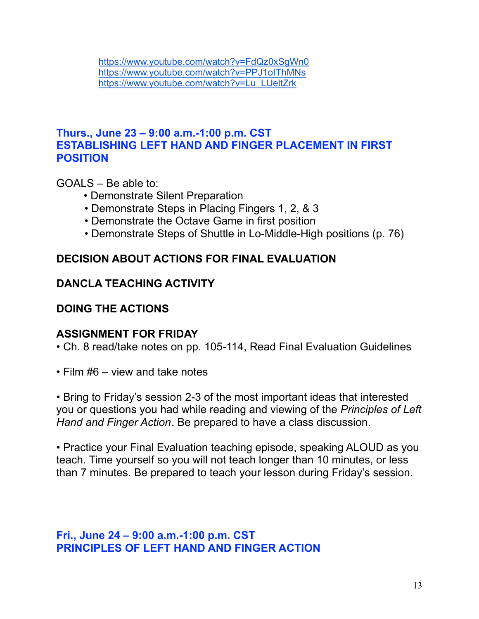<https://www.youtube.com/watch?v=FdQz0xSgWn0> <https://www.youtube.com/watch?v=PPJ1oIThMNs> [https://www.youtube.com/watch?v=Lu\\_LUeltZrk](https://www.youtube.com/watch?v=Lu_LUeltZrk)

## **Thurs., June 23 – 9:00 a.m.-1:00 p.m. CST ESTABLISHING LEFT HAND AND FINGER PLACEMENT IN FIRST POSITION**

GOALS – Be able to:

- Demonstrate Silent Preparation
- Demonstrate Steps in Placing Fingers 1, 2, & 3
- Demonstrate the Octave Game in first position
- Demonstrate Steps of Shuttle in Lo-Middle-High positions (p. 76)

## **DECISION ABOUT ACTIONS FOR FINAL EVALUATION**

## **DANCLA TEACHING ACTIVITY**

## **DOING THE ACTIONS**

## **ASSIGNMENT FOR FRIDAY**

- Ch. 8 read/take notes on pp. 105-114, Read Final Evaluation Guidelines
- Film #6 view and take notes

• Bring to Friday's session 2-3 of the most important ideas that interested you or questions you had while reading and viewing of the *Principles of Left Hand and Finger Action*. Be prepared to have a class discussion.

• Practice your Final Evaluation teaching episode, speaking ALOUD as you teach. Time yourself so you will not teach longer than 10 minutes, or less than 7 minutes. Be prepared to teach your lesson during Friday's session.

**Fri., June 24 – 9:00 a.m.-1:00 p.m. CST PRINCIPLES OF LEFT HAND AND FINGER ACTION**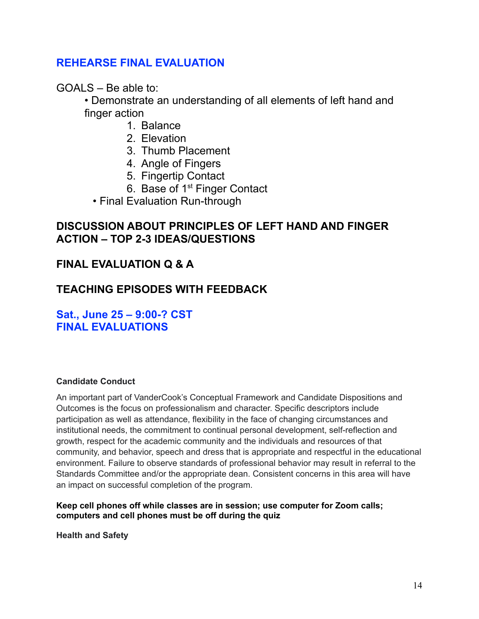## **REHEARSE FINAL EVALUATION**

 $GOAI S - Be$  able to:

• Demonstrate an understanding of all elements of left hand and finger action

- 1. Balance
- 2. Elevation
- 3. Thumb Placement
- 4. Angle of Fingers
- 5. Fingertip Contact
- 6. Base of 1<sup>st</sup> Finger Contact
- Final Evaluation Run-through

### **DISCUSSION ABOUT PRINCIPLES OF LEFT HAND AND FINGER ACTION – TOP 2-3 IDEAS/QUESTIONS**

## **FINAL EVALUATION Q & A**

# **TEACHING EPISODES WITH FEEDBACK**

**Sat., June 25 – 9:00-? CST FINAL EVALUATIONS**

#### **Candidate Conduct**

An important part of VanderCook's Conceptual Framework and Candidate Dispositions and Outcomes is the focus on professionalism and character. Specific descriptors include participation as well as attendance, flexibility in the face of changing circumstances and institutional needs, the commitment to continual personal development, self-reflection and growth, respect for the academic community and the individuals and resources of that community, and behavior, speech and dress that is appropriate and respectful in the educational environment. Failure to observe standards of professional behavior may result in referral to the Standards Committee and/or the appropriate dean. Consistent concerns in this area will have an impact on successful completion of the program.

**Keep cell phones off while classes are in session; use computer for Zoom calls; computers and cell phones must be off during the quiz**

**Health and Safety**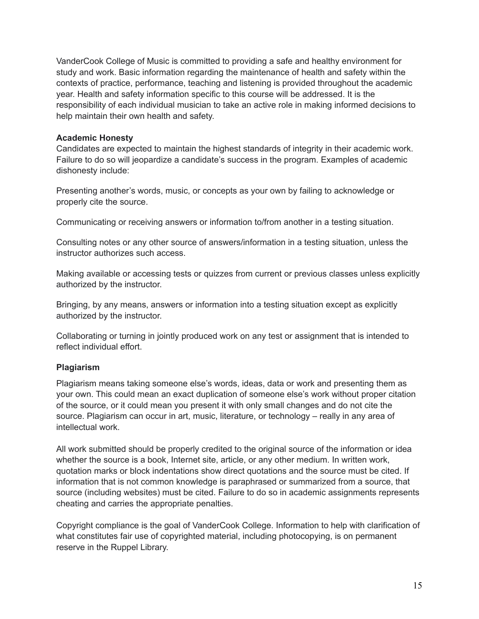VanderCook College of Music is committed to providing a safe and healthy environment for study and work. Basic information regarding the maintenance of health and safety within the contexts of practice, performance, teaching and listening is provided throughout the academic year. Health and safety information specific to this course will be addressed. It is the responsibility of each individual musician to take an active role in making informed decisions to help maintain their own health and safety.

#### **Academic Honesty**

Candidates are expected to maintain the highest standards of integrity in their academic work. Failure to do so will jeopardize a candidate's success in the program. Examples of academic dishonesty include:

Presenting another's words, music, or concepts as your own by failing to acknowledge or properly cite the source.

Communicating or receiving answers or information to/from another in a testing situation.

Consulting notes or any other source of answers/information in a testing situation, unless the instructor authorizes such access.

Making available or accessing tests or quizzes from current or previous classes unless explicitly authorized by the instructor.

Bringing, by any means, answers or information into a testing situation except as explicitly authorized by the instructor.

Collaborating or turning in jointly produced work on any test or assignment that is intended to reflect individual effort.

#### **Plagiarism**

Plagiarism means taking someone else's words, ideas, data or work and presenting them as your own. This could mean an exact duplication of someone else's work without proper citation of the source, or it could mean you present it with only small changes and do not cite the source. Plagiarism can occur in art, music, literature, or technology – really in any area of intellectual work.

All work submitted should be properly credited to the original source of the information or idea whether the source is a book, Internet site, article, or any other medium. In written work, quotation marks or block indentations show direct quotations and the source must be cited. If information that is not common knowledge is paraphrased or summarized from a source, that source (including websites) must be cited. Failure to do so in academic assignments represents cheating and carries the appropriate penalties.

Copyright compliance is the goal of VanderCook College. Information to help with clarification of what constitutes fair use of copyrighted material, including photocopying, is on permanent reserve in the Ruppel Library.